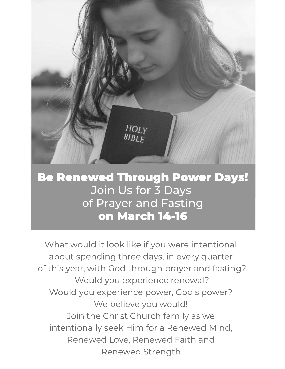

## Be Renewed Through Power Days! to eat and more time Join Us for 3 Days of Prayer and Fasting on March 14-16

What would it look like if you were intentional about spending three days, in every quarter of this year, with God through prayer and fasting? Would you experience renewal? Would you experience power, God's power? We believe you would! Join the Christ Church family as we intentionally seek Him for a Renewed Mind, Renewed Love, Renewed Faith and Renewed Strength.